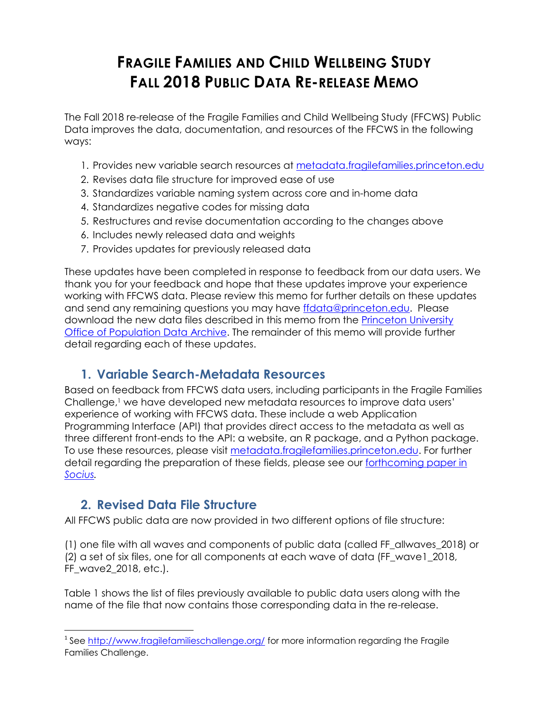# **FRAGILE FAMILIES AND CHILD WELLBEING STUDY FALL 2018 PUBLIC DATA RE-RELEASE MEMO**

The Fall 2018 re-release of the Fragile Families and Child Wellbeing Study (FFCWS) Public Data improves the data, documentation, and resources of the FFCWS in the following ways:

- 1. Provides new variable search resources at [metadata.fragilefamilies.princeton.edu](http://metadata.fragilefamilies.princeton.edu/)
- 2. Revises data file structure for improved ease of use
- 3. Standardizes variable naming system across core and in-home data
- 4. Standardizes negative codes for missing data
- 5. Restructures and revise documentation according to the changes above
- 6. Includes newly released data and weights
- 7. Provides updates for previously released data

These updates have been completed in response to feedback from our data users. We thank you for your feedback and hope that these updates improve your experience working with FFCWS data. Please review this memo for further details on these updates and send any remaining questions you may have [ffdata@princeton.edu.](mailto:ffdata@princeton.edu) Please download the new data files described in this memo from the [Princeton University](https://opr.princeton.edu/archive/)  [Office of Population Data Archive.](https://opr.princeton.edu/archive/) The remainder of this memo will provide further detail regarding each of these updates.

## **1. Variable Search-Metadata Resources**

Based on feedback from FFCWS data users, including participants in the Fragile Families Challenge,<sup>1</sup> we have developed new metadata resources to improve data users' experience of working with FFCWS data. These include a web Application Programming Interface (API) that provides direct access to the metadata as well as three different front-ends to the API: a website, an R package, and a Python package. To use these resources, please visit [metadata.fragilefamilies.princeton.edu.](http://metadata.fragilefamilies.princeton.edu/) For further detail regarding the preparation of these fields, please see our forthcoming paper in *[Socius.](https://fragilefamilies.princeton.edu/sites/fragilefamilies/files/wp18-10-ff.pdf)*

### **2. Revised Data File Structure**

 $\overline{a}$ 

All FFCWS public data are now provided in two different options of file structure:

(1) one file with all waves and components of public data (called FF\_allwaves\_2018) or (2) a set of six files, one for all components at each wave of data (FF\_wave1\_2018, FF\_wave2\_2018, etc.).

Table 1 shows the list of files previously available to public data users along with the name of the file that now contains those corresponding data in the re-release.

<sup>&</sup>lt;sup>1</sup> See<http://www.fragilefamilieschallenge.org/> for more information regarding the Fragile Families Challenge.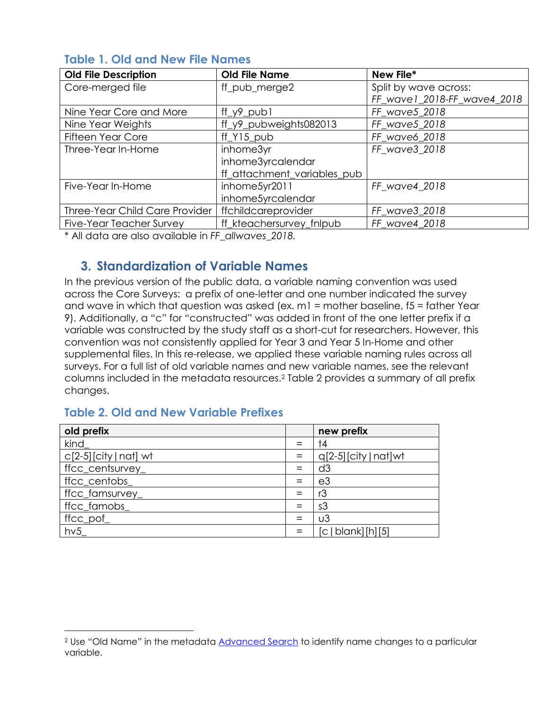| <b>Old File Description</b>           | <b>Old File Name</b>        | New File*                   |
|---------------------------------------|-----------------------------|-----------------------------|
| Core-merged file                      | ff_pub_merge2               | Split by wave across:       |
|                                       |                             | FF_wave1_2018-FF_wave4_2018 |
| Nine Year Core and More               | $ff_y9_pub1$                | FF_wave5_2018               |
| Nine Year Weights                     | ff_y9_pubweights082013      | FF_wave5_2018               |
| <b>Fifteen Year Core</b>              | ff Y15 pub                  | FF wave6 2018               |
| Three-Year In-Home                    | inhome3yr                   | FF wave3 2018               |
|                                       | inhome3yrcalendar           |                             |
|                                       | ff_attachment_variables_pub |                             |
| Five-Year In-Home                     | inhome5yr2011               | FF_wave4_2018               |
|                                       | inhome5yrcalendar           |                             |
| <b>Three-Year Child Care Provider</b> | ffchildcareprovider         | FF_wave3_2018               |
| Five-Year Teacher Survey              | ff_kteachersurvey_fnlpub    | FF wave4 2018               |

#### **Table 1. Old and New File Names**

\* All data are also available in *FF\_allwaves\_2018.*

### **3. Standardization of Variable Names**

In the previous version of the public data, a variable naming convention was used across the Core Surveys: a prefix of one-letter and one number indicated the survey and wave in which that question was asked (ex.  $ml =$  mother baseline,  $15 =$  father Year 9). Additionally, a "c" for "constructed" was added in front of the one letter prefix if a variable was constructed by the study staff as a short-cut for researchers. However, this convention was not consistently applied for Year 3 and Year 5 In-Home and other supplemental files. In this re-release, we applied these variable naming rules across all surveys. For a full list of old variable names and new variable names, see the relevant columns included in the metadata resources. <sup>2</sup> Table 2 provides a summary of all prefix changes.

#### **Table 2. Old and New Variable Prefixes**

l

| old prefix               |     | new prefix              |
|--------------------------|-----|-------------------------|
| kind                     | $=$ | †4                      |
| $c[2-5]$ [city   nat] wt | $=$ | $q[2-5]$ [city   nat]wt |
| ffcc_centsurvey_         |     | d3                      |
| ffcc_centobs_            | $=$ | e3                      |
| ffcc_famsurvey_          | $=$ | r3                      |
| ffcc_famobs_             | $=$ | s3                      |
| ffcc_pof_                | $=$ | $\cup$ 3                |
| hv5                      | $=$ | [c   blank] [h] [5]     |

<sup>&</sup>lt;sup>2</sup> Use "Old Name" in the metadata [Advanced Search](http://metadata.fragilefamilies.princeton.edu/search) to identify name changes to a particular variable.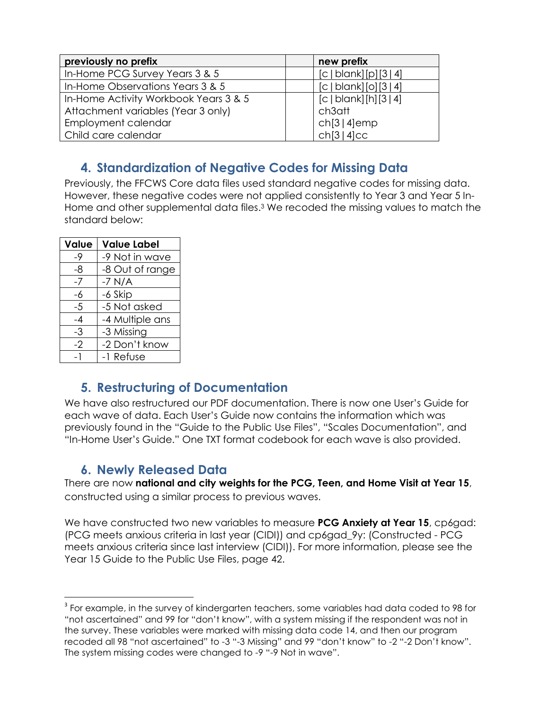| previously no prefix                  | new prefix            |
|---------------------------------------|-----------------------|
| In-Home PCG Survey Years 3 & 5        | [c   blank][p][3   4] |
| In-Home Observations Years 3 & 5      | [c   blank][o][3   4] |
| In-Home Activity Workbook Years 3 & 5 | [c   blank][h][3   4] |
| Attachment variables (Year 3 only)    | ch3att                |
| Employment calendar                   | ch[3 4]emp            |
| Child care calendar                   | ch[3 4]cc             |

# **4. Standardization of Negative Codes for Missing Data**

Previously, the FFCWS Core data files used standard negative codes for missing data. However, these negative codes were not applied consistently to Year 3 and Year 5 In-Home and other supplemental data files. <sup>3</sup> We recoded the missing values to match the standard below:

| <b>Value</b> | <b>Value Label</b> |
|--------------|--------------------|
| -9           | -9 Not in wave     |
| -8           | -8 Out of range    |
| -7           | $-7$ N/A           |
| -6           | -6 Skip            |
| $-5$         | -5 Not asked       |
| -4           | -4 Multiple ans    |
| -3           | -3 Missing         |
| $-2$         | -2 Don't know      |
| - 1          | -1 Refuse          |

## **5. Restructuring of Documentation**

We have also restructured our PDF documentation. There is now one User's Guide for each wave of data. Each User's Guide now contains the information which was previously found in the "Guide to the Public Use Files", "Scales Documentation", and "In-Home User's Guide." One TXT format codebook for each wave is also provided.

## **6. Newly Released Data**

There are now **national and city weights for the PCG, Teen, and Home Visit at Year 15**, constructed using a similar process to previous waves.

We have constructed two new variables to measure **PCG Anxiety at Year 15**, cp6gad: (PCG meets anxious criteria in last year (CIDI)) and cp6gad\_9y: (Constructed - PCG meets anxious criteria since last interview (CIDI)). For more information, please see the Year 15 Guide to the Public Use Files, page 42.

 $\overline{\phantom{a}}$  $^{\rm 3}$  For example, in the survey of kindergarten teachers, some variables had data coded to 98 for "not ascertained" and 99 for "don't know", with a system missing if the respondent was not in the survey. These variables were marked with missing data code 14, and then our program recoded all 98 "not ascertained" to -3 "-3 Missing" and 99 "don't know" to -2 "-2 Don't know". The system missing codes were changed to -9 "-9 Not in wave".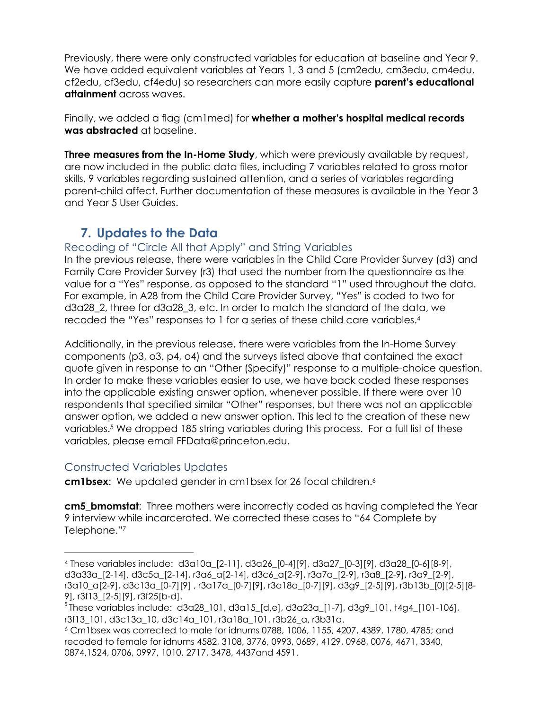Previously, there were only constructed variables for education at baseline and Year 9. We have added equivalent variables at Years 1, 3 and 5 (cm2edu, cm3edu, cm4edu, cf2edu, cf3edu, cf4edu) so researchers can more easily capture **parent's educational attainment** across waves.

Finally, we added a flag (cm1med) for **whether a mother's hospital medical records was abstracted** at baseline.

**Three measures from the In-Home Study**, which were previously available by request, are now included in the public data files, including 7 variables related to gross motor skills, 9 variables regarding sustained attention, and a series of variables regarding parent-child affect. Further documentation of these measures is available in the Year 3 and Year 5 User Guides.

### **7. Updates to the Data**

#### Recoding of "Circle All that Apply" and String Variables

In the previous release, there were variables in the Child Care Provider Survey (d3) and Family Care Provider Survey (r3) that used the number from the questionnaire as the value for a "Yes" response, as opposed to the standard "1" used throughout the data. For example, in A28 from the Child Care Provider Survey, "Yes" is coded to two for d3a28\_2, three for d3a28\_3, etc. In order to match the standard of the data, we recoded the "Yes" responses to 1 for a series of these child care variables. 4

Additionally, in the previous release, there were variables from the In-Home Survey components (p3, o3, p4, o4) and the surveys listed above that contained the exact quote given in response to an "Other (Specify)" response to a multiple-choice question. In order to make these variables easier to use, we have back coded these responses into the applicable existing answer option, whenever possible. If there were over 10 respondents that specified similar "Other" responses, but there was not an applicable answer option, we added a new answer option. This led to the creation of these new variables. <sup>5</sup> We dropped 185 string variables during this process. For a full list of these variables, please email FFData@princeton.edu.

#### Constructed Variables Updates

l

**cm1bsex**: We updated gender in cm1bsex for 26 focal children.<sup>6</sup>

**cm5\_bmomstat**: Three mothers were incorrectly coded as having completed the Year 9 interview while incarcerated. We corrected these cases to "64 Complete by Telephone."<sup>7</sup>

<sup>4</sup> These variables include: d3a10a\_[2-11], d3a26\_[0-4][9], d3a27\_[0-3][9], d3a28\_[0-6][8-9], d3a33a\_[2-14], d3c5a\_[2-14], r3a6\_a[2-14], d3c6\_a[2-9], r3a7a\_[2-9], r3a8\_[2-9], r3a9\_[2-9], r3a10\_a[2-9], d3c13a\_[0-7][9] , r3a17a\_[0-7][9], r3a18a\_[0-7][9], d3g9\_[2-5][9], r3b13b\_[0][2-5][8- 9], r3f13\_[2-5][9], r3f25[b-d].

<sup>5</sup> These variables include: d3a28\_101, d3a15\_[d,e], d3a23a\_[1-7], d3g9\_101, t4g4\_[101-106], r3f13\_101, d3c13a\_10, d3c14a\_101, r3a18a\_101, r3b26\_a, r3b31a.

<sup>6</sup> Cm1bsex was corrected to male for idnums 0788, 1006, 1155, 4207, 4389, 1780, 4785; and recoded to female for idnums 4582, 3108, 3776, 0993, 0689, 4129, 0968, 0076, 4671, 3340, 0874,1524, 0706, 0997, 1010, 2717, 3478, 4437and 4591.